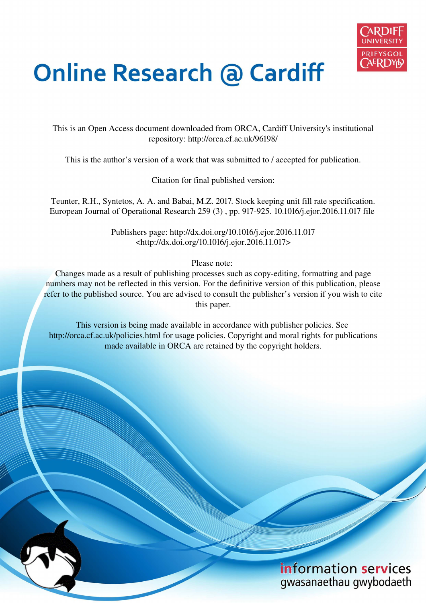

# **Online Research @ Cardiff**

This is an Open Access document downloaded from ORCA, Cardiff University's institutional repository: http://orca.cf.ac.uk/96198/

This is the author's version of a work that was submitted to / accepted for publication.

Citation for final published version:

Teunter, R.H., Syntetos, A. A. and Babai, M.Z. 2017. Stock keeping unit fill rate specification. European Journal of Operational Research 259 (3) , pp. 917-925. 10.1016/j.ejor.2016.11.017 file

> Publishers page: http://dx.doi.org/10.1016/j.ejor.2016.11.017 <http://dx.doi.org/10.1016/j.ejor.2016.11.017>

> > Please note:

Changes made as a result of publishing processes such as copy-editing, formatting and page numbers may not be reflected in this version. For the definitive version of this publication, please refer to the published source. You are advised to consult the publisher's version if you wish to cite this paper.

This version is being made available in accordance with publisher policies. See http://orca.cf.ac.uk/policies.html for usage policies. Copyright and moral rights for publications made available in ORCA are retained by the copyright holders.

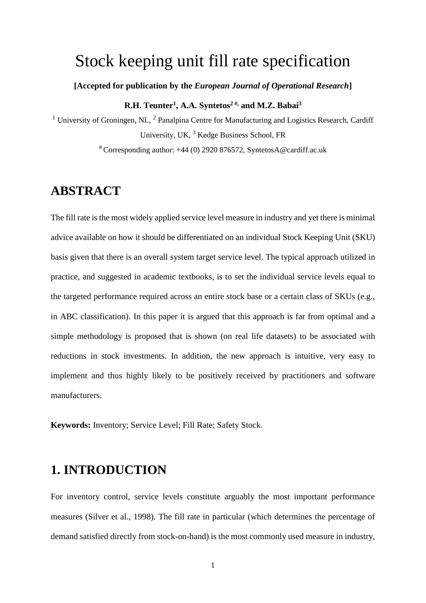## Stock keeping unit fill rate specification

**[Accepted for publication by the** *European Journal of Operational Research***]** 

#### **R.H. Teunter<sup>1</sup> , A.A. Syntetos2 #, and M.Z. Babai<sup>3</sup>**

<sup>1</sup> University of Groningen, NL,  $^2$  Panalpina Centre for Manufacturing and Logistics Research, Cardiff University, UK, <sup>3</sup> Kedge Business School, FR

# Corresponding author: +44 (0) 2920 876572, SyntetosA@cardiff.ac.uk

## **ABSTRACT**

The fill rate is the most widely applied service level measure in industry and yet there is minimal advice available on how it should be differentiated on an individual Stock Keeping Unit (SKU) basis given that there is an overall system target service level. The typical approach utilized in practice, and suggested in academic textbooks, is to set the individual service levels equal to the targeted performance required across an entire stock base or a certain class of SKUs (e.g., in ABC classification). In this paper it is argued that this approach is far from optimal and a simple methodology is proposed that is shown (on real life datasets) to be associated with reductions in stock investments. In addition, the new approach is intuitive, very easy to implement and thus highly likely to be positively received by practitioners and software manufacturers.

**Keywords:** Inventory; Service Level; Fill Rate; Safety Stock.

## **1. INTRODUCTION**

For inventory control, service levels constitute arguably the most important performance measures (Silver et al., 1998). The fill rate in particular (which determines the percentage of demand satisfied directly from stock-on-hand) is the most commonly used measure in industry,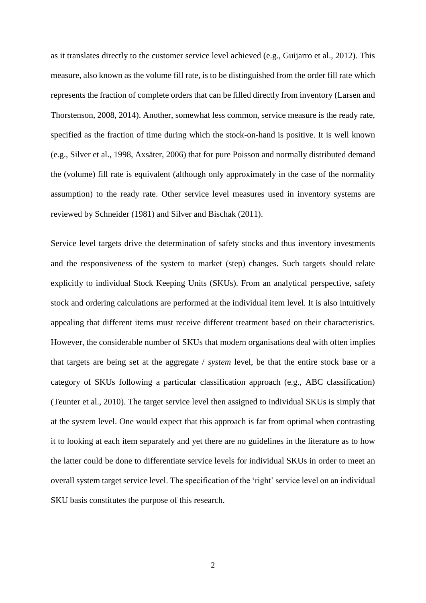as it translates directly to the customer service level achieved (e.g., Guijarro et al., 2012). This measure, also known as the volume fill rate, is to be distinguished from the order fill rate which represents the fraction of complete orders that can be filled directly from inventory (Larsen and Thorstenson, 2008, 2014). Another, somewhat less common, service measure is the ready rate, specified as the fraction of time during which the stock-on-hand is positive. It is well known (e.g., Silver et al., 1998, Axsäter, 2006) that for pure Poisson and normally distributed demand the (volume) fill rate is equivalent (although only approximately in the case of the normality assumption) to the ready rate. Other service level measures used in inventory systems are reviewed by Schneider (1981) and Silver and Bischak (2011).

Service level targets drive the determination of safety stocks and thus inventory investments and the responsiveness of the system to market (step) changes. Such targets should relate explicitly to individual Stock Keeping Units (SKUs). From an analytical perspective, safety stock and ordering calculations are performed at the individual item level. It is also intuitively appealing that different items must receive different treatment based on their characteristics. However, the considerable number of SKUs that modern organisations deal with often implies that targets are being set at the aggregate / *system* level, be that the entire stock base or a category of SKUs following a particular classification approach (e.g., ABC classification) (Teunter et al., 2010). The target service level then assigned to individual SKUs is simply that at the system level. One would expect that this approach is far from optimal when contrasting it to looking at each item separately and yet there are no guidelines in the literature as to how the latter could be done to differentiate service levels for individual SKUs in order to meet an overall system target service level. The specification of the 'right' service level on an individual SKU basis constitutes the purpose of this research.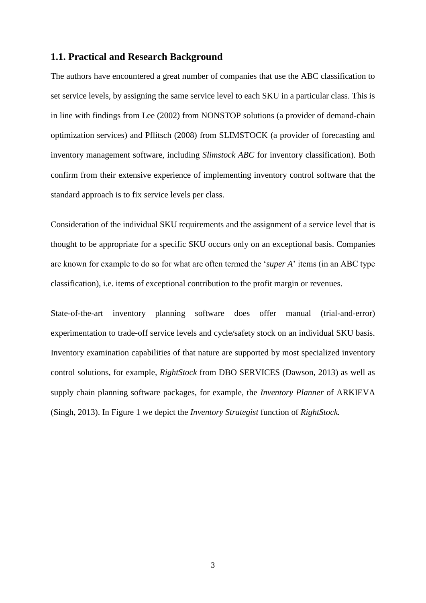#### **1.1. Practical and Research Background**

The authors have encountered a great number of companies that use the ABC classification to set service levels, by assigning the same service level to each SKU in a particular class. This is in line with findings from Lee (2002) from NONSTOP solutions (a provider of demand-chain optimization services) and Pflitsch (2008) from SLIMSTOCK (a provider of forecasting and inventory management software, including *Slimstock ABC* for inventory classification). Both confirm from their extensive experience of implementing inventory control software that the standard approach is to fix service levels per class.

Consideration of the individual SKU requirements and the assignment of a service level that is thought to be appropriate for a specific SKU occurs only on an exceptional basis. Companies are known for example to do so for what are often termed the '*super A*' items (in an ABC type classification), i.e. items of exceptional contribution to the profit margin or revenues.

State-of-the-art inventory planning software does offer manual (trial-and-error) experimentation to trade-off service levels and cycle/safety stock on an individual SKU basis. Inventory examination capabilities of that nature are supported by most specialized inventory control solutions, for example, *RightStock* from DBO SERVICES (Dawson, 2013) as well as supply chain planning software packages, for example, the *Inventory Planner* of ARKIEVA (Singh, 2013). In Figure 1 we depict the *Inventory Strategist* function of *RightStock.*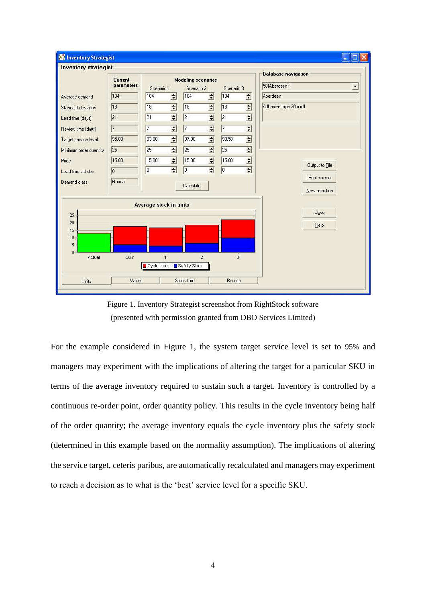

Figure 1. Inventory Strategist screenshot from RightStock software (presented with permission granted from DBO Services Limited)

For the example considered in Figure 1, the system target service level is set to 95% and managers may experiment with the implications of altering the target for a particular SKU in terms of the average inventory required to sustain such a target. Inventory is controlled by a continuous re-order point, order quantity policy. This results in the cycle inventory being half of the order quantity; the average inventory equals the cycle inventory plus the safety stock (determined in this example based on the normality assumption). The implications of altering the service target, ceteris paribus, are automatically recalculated and managers may experiment to reach a decision as to what is the 'best' service level for a specific SKU.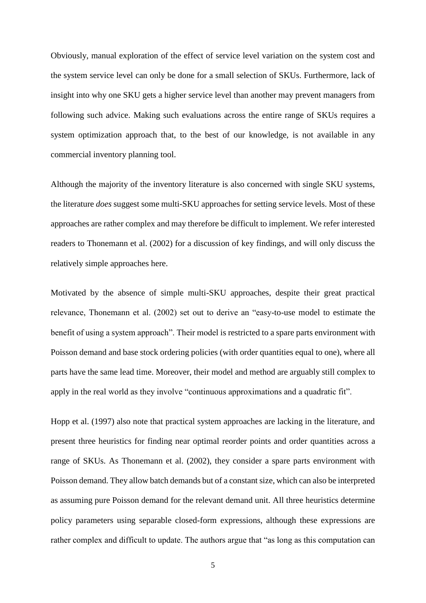Obviously, manual exploration of the effect of service level variation on the system cost and the system service level can only be done for a small selection of SKUs. Furthermore, lack of insight into why one SKU gets a higher service level than another may prevent managers from following such advice. Making such evaluations across the entire range of SKUs requires a system optimization approach that, to the best of our knowledge, is not available in any commercial inventory planning tool.

Although the majority of the inventory literature is also concerned with single SKU systems, the literature *does* suggest some multi-SKU approaches for setting service levels. Most of these approaches are rather complex and may therefore be difficult to implement. We refer interested readers to Thonemann et al. (2002) for a discussion of key findings, and will only discuss the relatively simple approaches here.

Motivated by the absence of simple multi-SKU approaches, despite their great practical relevance, Thonemann et al. (2002) set out to derive an "easy-to-use model to estimate the benefit of using a system approach". Their model is restricted to a spare parts environment with Poisson demand and base stock ordering policies (with order quantities equal to one), where all parts have the same lead time. Moreover, their model and method are arguably still complex to apply in the real world as they involve "continuous approximations and a quadratic fit".

Hopp et al. (1997) also note that practical system approaches are lacking in the literature, and present three heuristics for finding near optimal reorder points and order quantities across a range of SKUs. As Thonemann et al. (2002), they consider a spare parts environment with Poisson demand. They allow batch demands but of a constant size, which can also be interpreted as assuming pure Poisson demand for the relevant demand unit. All three heuristics determine policy parameters using separable closed-form expressions, although these expressions are rather complex and difficult to update. The authors argue that "as long as this computation can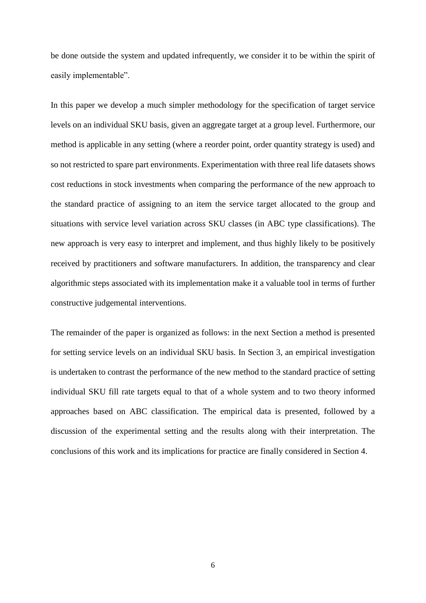be done outside the system and updated infrequently, we consider it to be within the spirit of easily implementable".

In this paper we develop a much simpler methodology for the specification of target service levels on an individual SKU basis, given an aggregate target at a group level. Furthermore, our method is applicable in any setting (where a reorder point, order quantity strategy is used) and so not restricted to spare part environments. Experimentation with three real life datasets shows cost reductions in stock investments when comparing the performance of the new approach to the standard practice of assigning to an item the service target allocated to the group and situations with service level variation across SKU classes (in ABC type classifications). The new approach is very easy to interpret and implement, and thus highly likely to be positively received by practitioners and software manufacturers. In addition, the transparency and clear algorithmic steps associated with its implementation make it a valuable tool in terms of further constructive judgemental interventions.

The remainder of the paper is organized as follows: in the next Section a method is presented for setting service levels on an individual SKU basis. In Section 3, an empirical investigation is undertaken to contrast the performance of the new method to the standard practice of setting individual SKU fill rate targets equal to that of a whole system and to two theory informed approaches based on ABC classification. The empirical data is presented, followed by a discussion of the experimental setting and the results along with their interpretation. The conclusions of this work and its implications for practice are finally considered in Section 4.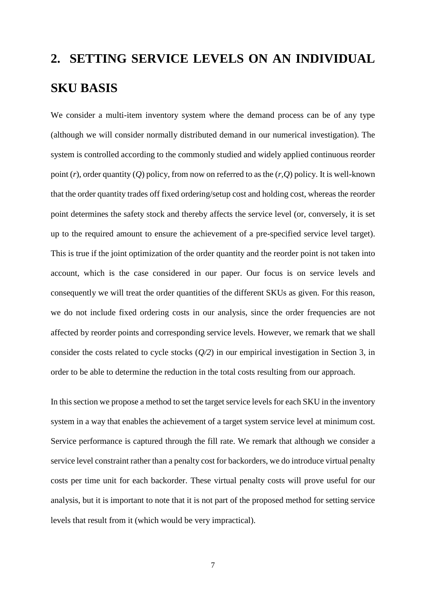## **2. SETTING SERVICE LEVELS ON AN INDIVIDUAL SKU BASIS**

We consider a multi-item inventory system where the demand process can be of any type (although we will consider normally distributed demand in our numerical investigation). The system is controlled according to the commonly studied and widely applied continuous reorder point (*r*), order quantity (*Q*) policy, from now on referred to as the (*r,Q*) policy. It is well-known that the order quantity trades off fixed ordering/setup cost and holding cost, whereas the reorder point determines the safety stock and thereby affects the service level (or, conversely, it is set up to the required amount to ensure the achievement of a pre-specified service level target). This is true if the joint optimization of the order quantity and the reorder point is not taken into account, which is the case considered in our paper. Our focus is on service levels and consequently we will treat the order quantities of the different SKUs as given. For this reason, we do not include fixed ordering costs in our analysis, since the order frequencies are not affected by reorder points and corresponding service levels. However, we remark that we shall consider the costs related to cycle stocks (*Q/2*) in our empirical investigation in Section 3, in order to be able to determine the reduction in the total costs resulting from our approach.

In this section we propose a method to set the target service levels for each SKU in the inventory system in a way that enables the achievement of a target system service level at minimum cost. Service performance is captured through the fill rate. We remark that although we consider a service level constraint rather than a penalty cost for backorders, we do introduce virtual penalty costs per time unit for each backorder. These virtual penalty costs will prove useful for our analysis, but it is important to note that it is not part of the proposed method for setting service levels that result from it (which would be very impractical).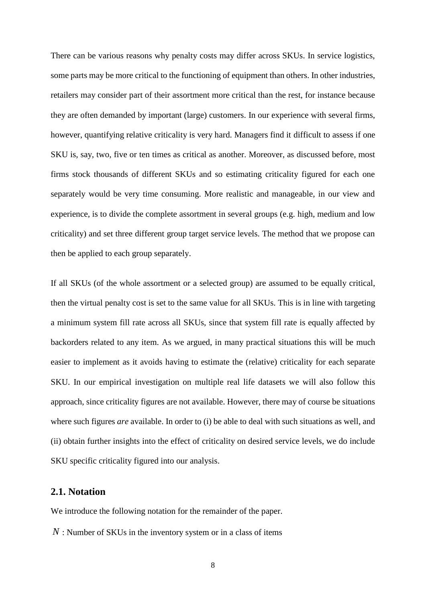There can be various reasons why penalty costs may differ across SKUs. In service logistics, some parts may be more critical to the functioning of equipment than others. In other industries, retailers may consider part of their assortment more critical than the rest, for instance because they are often demanded by important (large) customers. In our experience with several firms, however, quantifying relative criticality is very hard. Managers find it difficult to assess if one SKU is, say, two, five or ten times as critical as another. Moreover, as discussed before, most firms stock thousands of different SKUs and so estimating criticality figured for each one separately would be very time consuming. More realistic and manageable, in our view and experience, is to divide the complete assortment in several groups (e.g. high, medium and low criticality) and set three different group target service levels. The method that we propose can then be applied to each group separately.

If all SKUs (of the whole assortment or a selected group) are assumed to be equally critical, then the virtual penalty cost is set to the same value for all SKUs. This is in line with targeting a minimum system fill rate across all SKUs, since that system fill rate is equally affected by backorders related to any item. As we argued, in many practical situations this will be much easier to implement as it avoids having to estimate the (relative) criticality for each separate SKU. In our empirical investigation on multiple real life datasets we will also follow this approach, since criticality figures are not available. However, there may of course be situations where such figures *are* available. In order to (i) be able to deal with such situations as well, and (ii) obtain further insights into the effect of criticality on desired service levels, we do include SKU specific criticality figured into our analysis.

#### **2.1. Notation**

We introduce the following notation for the remainder of the paper.

*N* : Number of SKUs in the inventory system or in a class of items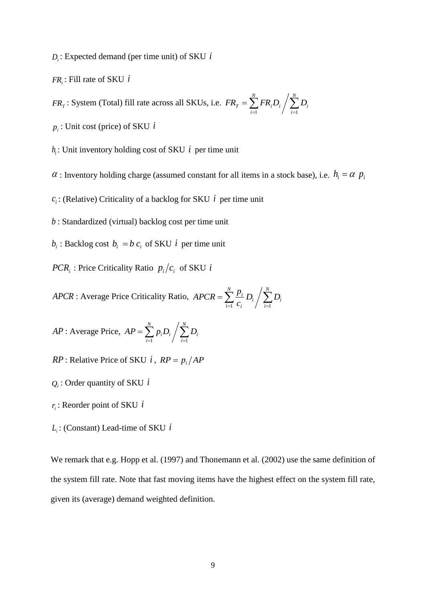*Di* : Expected demand (per time unit) of SKU *i*

*FR<sup>i</sup>* : Fill rate of SKU *i*

 $FR<sub>T</sub>$ : System (Total) fill rate across all SKUs, i.e.  $FR<sub>T</sub> = \sum_{i=1}^{N} FR_i D_i / \sum_{i=1}^{N}$ *i i N i*  $FR_{_T} = \sum FR_i D_i \bigm/ \sum D_i$  $1 \t\t i=1$ 

*pi* : Unit cost (price) of SKU *i*

 $h_i$ : Unit inventory holding cost of SKU  $i$  per time unit

 $\alpha$ : Inventory holding charge (assumed constant for all items in a stock base), i.e.  $h_i = \alpha p_i$ 

 $c_i$ : (Relative) Criticality of a backlog for SKU *i* per time unit

*b* : Standardized (virtual) backlog cost per time unit

 $b_i$ : Backlog cost  $b_i = b c_i$  of SKU *i* per time unit

*PCR*<sub>*i*</sub>: Price Criticality Ratio  $p_i/c_i$  of SKU *i* 

*APCR* : Average Price Criticality Ratio,  $APCR = \sum_{i=1}^{N} \frac{p_i}{c_i} D_i / \sum_{i=1}^{N}$ *i i N i i i*  $\frac{i}{\cdot} D_i / \sum D_i$ *c*  $APCR = \sum_{i=1}^{N} \frac{p}{i}$  $-1$   $\mathcal{L}_i$   $/$   $i=1$ 

*AP*: Average Price, 
$$
AP = \sum_{i=1}^{N} p_i D_i / \sum_{i=1}^{N} D_i
$$

*RP*: Relative Price of SKU *i*, 
$$
RP = p_i/AP
$$

- *Qi* : Order quantity of SKU *i*
- *i r* : Reorder point of SKU *i*
- *Li* : (Constant) Lead-time of SKU *i*

We remark that e.g. Hopp et al. (1997) and Thonemann et al. (2002) use the same definition of the system fill rate. Note that fast moving items have the highest effect on the system fill rate, given its (average) demand weighted definition.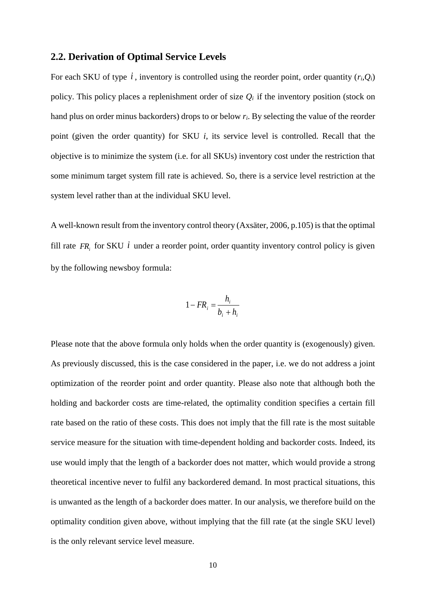#### **2.2. Derivation of Optimal Service Levels**

For each SKU of type  $i$ , inventory is controlled using the reorder point, order quantity  $(r_i, Q_i)$ policy. This policy places a replenishment order of size  $Q_i$  if the inventory position (stock on hand plus on order minus backorders) drops to or below *ri*. By selecting the value of the reorder point (given the order quantity) for SKU *i*, its service level is controlled. Recall that the objective is to minimize the system (i.e. for all SKUs) inventory cost under the restriction that some minimum target system fill rate is achieved. So, there is a service level restriction at the system level rather than at the individual SKU level.

A well-known result from the inventory control theory (Axsäter, 2006, p.105) is that the optimal fill rate  $FR<sub>i</sub>$  for SKU *i* under a reorder point, order quantity inventory control policy is given by the following newsboy formula:

$$
1 - FR_i = \frac{h_i}{b_i + h_i}
$$

Please note that the above formula only holds when the order quantity is (exogenously) given. As previously discussed, this is the case considered in the paper, i.e. we do not address a joint optimization of the reorder point and order quantity. Please also note that although both the holding and backorder costs are time-related, the optimality condition specifies a certain fill rate based on the ratio of these costs. This does not imply that the fill rate is the most suitable service measure for the situation with time-dependent holding and backorder costs. Indeed, its use would imply that the length of a backorder does not matter, which would provide a strong theoretical incentive never to fulfil any backordered demand. In most practical situations, this is unwanted as the length of a backorder does matter. In our analysis, we therefore build on the optimality condition given above, without implying that the fill rate (at the single SKU level) is the only relevant service level measure.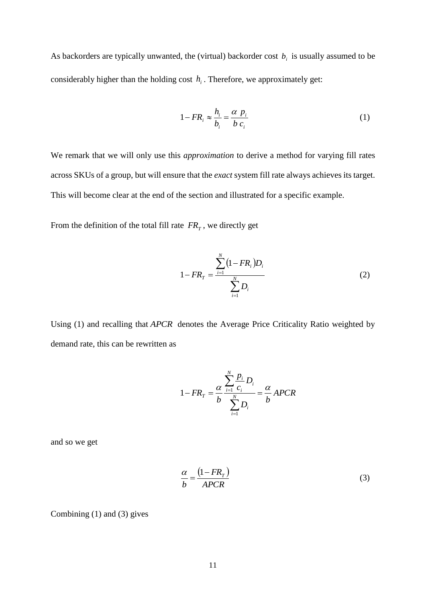As backorders are typically unwanted, the (virtual) backorder cost *b<sup>i</sup>* is usually assumed to be considerably higher than the holding cost  $h_i$ . Therefore, we approximately get:

$$
1 - FR_i \approx \frac{h_i}{b_i} = \frac{\alpha p_i}{b c_i}
$$
 (1)

We remark that we will only use this *approximation* to derive a method for varying fill rates across SKUs of a group, but will ensure that the *exact* system fill rate always achieves its target. This will become clear at the end of the section and illustrated for a specific example.

From the definition of the total fill rate  $FR<sub>T</sub>$ , we directly get

$$
1 - FR_T = \frac{\sum_{i=1}^{N} (1 - FR_i)D_i}{\sum_{i=1}^{N} D_i}
$$
 (2)

Using (1) and recalling that *APCR* denotes the Average Price Criticality Ratio weighted by demand rate, this can be rewritten as

$$
1 - FR_{T} = \frac{\alpha}{b} \frac{\sum_{i=1}^{N} \frac{p_{i}}{c_{i}} D_{i}}{\sum_{i=1}^{N} D_{i}} = \frac{\alpha}{b} APCR
$$

and so we get

$$
\frac{\alpha}{b} = \frac{(1 - FR_T)}{APCR} \tag{3}
$$

Combining (1) and (3) gives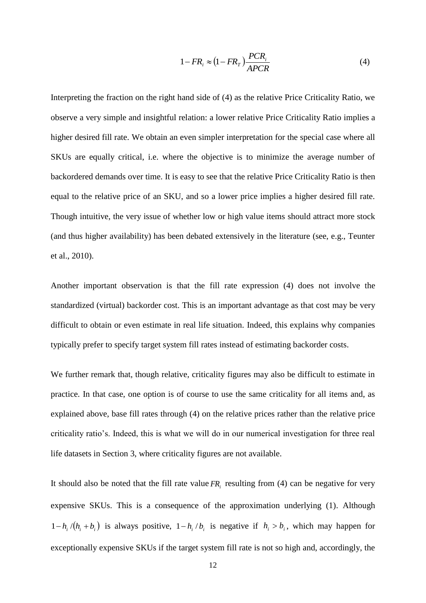$$
1 - FR_i \approx (1 - FR_T) \frac{PCR_i}{APCR}
$$
 (4)

Interpreting the fraction on the right hand side of (4) as the relative Price Criticality Ratio, we observe a very simple and insightful relation: a lower relative Price Criticality Ratio implies a higher desired fill rate. We obtain an even simpler interpretation for the special case where all SKUs are equally critical, i.e. where the objective is to minimize the average number of backordered demands over time. It is easy to see that the relative Price Criticality Ratio is then equal to the relative price of an SKU, and so a lower price implies a higher desired fill rate. Though intuitive, the very issue of whether low or high value items should attract more stock (and thus higher availability) has been debated extensively in the literature (see, e.g., Teunter et al., 2010).

Another important observation is that the fill rate expression (4) does not involve the standardized (virtual) backorder cost. This is an important advantage as that cost may be very difficult to obtain or even estimate in real life situation. Indeed, this explains why companies typically prefer to specify target system fill rates instead of estimating backorder costs.

We further remark that, though relative, criticality figures may also be difficult to estimate in practice. In that case, one option is of course to use the same criticality for all items and, as explained above, base fill rates through (4) on the relative prices rather than the relative price criticality ratio's. Indeed, this is what we will do in our numerical investigation for three real life datasets in Section 3, where criticality figures are not available.

It should also be noted that the fill rate value  $FR<sub>i</sub>$  resulting from (4) can be negative for very expensive SKUs. This is a consequence of the approximation underlying (1). Although  $1 - h_i / (h_i + b_i)$  is always positive,  $1 - h_i / b_i$  is negative if  $h_i > b_i$ , which may happen for exceptionally expensive SKUs if the target system fill rate is not so high and, accordingly, the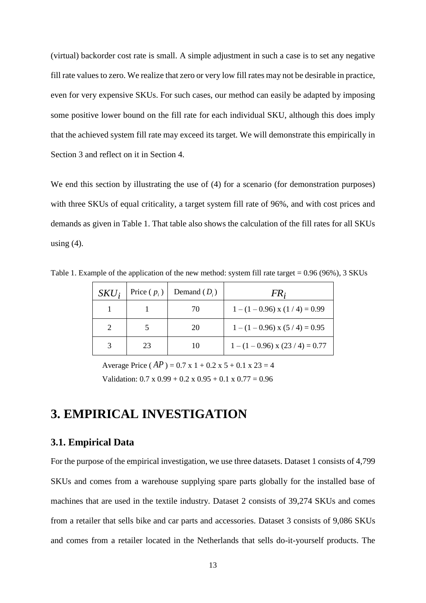(virtual) backorder cost rate is small. A simple adjustment in such a case is to set any negative fill rate values to zero. We realize that zero or very low fill rates may not be desirable in practice, even for very expensive SKUs. For such cases, our method can easily be adapted by imposing some positive lower bound on the fill rate for each individual SKU, although this does imply that the achieved system fill rate may exceed its target. We will demonstrate this empirically in Section 3 and reflect on it in Section 4.

We end this section by illustrating the use of (4) for a scenario (for demonstration purposes) with three SKUs of equal criticality, a target system fill rate of 96%, and with cost prices and demands as given in Table 1. That table also shows the calculation of the fill rates for all SKUs using  $(4)$ .

| $SKU_i$ | Price $(p_i)$ | Demand $(D_i)$ | FR;                                  |
|---------|---------------|----------------|--------------------------------------|
|         |               | 70             | $1 - (1 - 0.96)$ x $(1 / 4) = 0.99$  |
|         |               | 20             | $1 - (1 - 0.96)$ x $(5 / 4) = 0.95$  |
|         | 23            | 10             | $1 - (1 - 0.96)$ x $(23 / 4) = 0.77$ |

Table 1. Example of the application of the new method: system fill rate target = 0.96 (96%), 3 SKUs

Average Price  $AP$  ) = 0.7 x 1 + 0.2 x 5 + 0.1 x 23 = 4 Validation:  $0.7 \times 0.99 + 0.2 \times 0.95 + 0.1 \times 0.77 = 0.96$ 

## **3. EMPIRICAL INVESTIGATION**

#### **3.1. Empirical Data**

For the purpose of the empirical investigation, we use three datasets. Dataset 1 consists of 4,799 SKUs and comes from a warehouse supplying spare parts globally for the installed base of machines that are used in the textile industry. Dataset 2 consists of 39,274 SKUs and comes from a retailer that sells bike and car parts and accessories. Dataset 3 consists of 9,086 SKUs and comes from a retailer located in the Netherlands that sells do-it-yourself products. The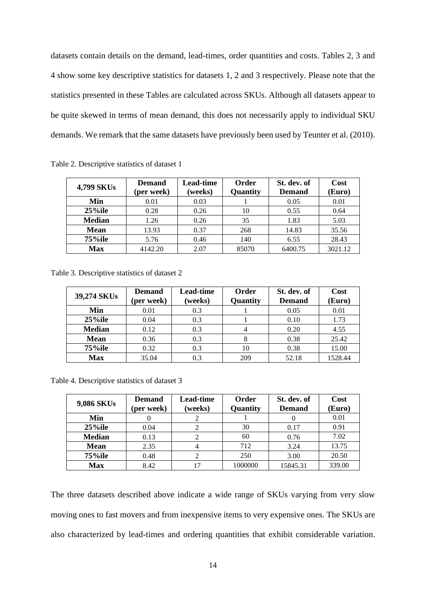datasets contain details on the demand, lead-times, order quantities and costs. Tables 2, 3 and 4 show some key descriptive statistics for datasets 1, 2 and 3 respectively. Please note that the statistics presented in these Tables are calculated across SKUs. Although all datasets appear to be quite skewed in terms of mean demand, this does not necessarily apply to individual SKU demands. We remark that the same datasets have previously been used by Teunter et al. (2010).

| 4,799 SKUs    | <b>Demand</b><br>(per week) | Lead-time<br>(weeks) | Order<br>Quantity | St. dev. of<br><b>Demand</b> | Cost<br>(Euro) |
|---------------|-----------------------------|----------------------|-------------------|------------------------------|----------------|
| Min           | 0.01                        | 0.03                 |                   | 0.05                         | 0.01           |
| $25\%$ ile    | 0.28                        | 0.26                 | 10                | 0.55                         | 0.64           |
| <b>Median</b> | 1.26                        | 0.26                 | 35                | 1.83                         | 5.03           |
| <b>Mean</b>   | 13.93                       | 0.37                 | 268               | 14.83                        | 35.56          |
| $75\%$ ile    | 5.76                        | 0.46                 | 140               | 6.55                         | 28.43          |
| <b>Max</b>    | 4142.20                     | 2.07                 | 85070             | 6400.75                      | 3021.12        |

Table 2. Descriptive statistics of dataset 1

Table 3. Descriptive statistics of dataset 2

| 39,274 SKUs   | <b>Demand</b><br>(per week) | Lead-time<br>(weeks) | Order<br>Quantity | St. dev. of<br><b>Demand</b> | Cost<br>(Euro) |
|---------------|-----------------------------|----------------------|-------------------|------------------------------|----------------|
| Min           | 0.01                        | 0.3                  |                   | 0.05                         | 0.01           |
| $25\%$ ile    | 0.04                        | 0.3                  |                   | 0.10                         | 1.73           |
| <b>Median</b> | 0.12                        | 0.3                  | 4                 | 0.20                         | 4.55           |
| <b>Mean</b>   | 0.36                        | 0.3                  | 8                 | 0.38                         | 25.42          |
| 75%ile        | 0.32                        | 0.3                  | 10                | 0.38                         | 15.00          |
| <b>Max</b>    | 35.04                       | 0.3                  | 209               | 52.18                        | 1528.44        |

Table 4. Descriptive statistics of dataset 3

| 9,086 SKUs    | <b>Demand</b><br>(per week) |  | Order<br>Quantity | St. dev. of<br><b>Demand</b> | Cost<br>(Euro) |  |
|---------------|-----------------------------|--|-------------------|------------------------------|----------------|--|
| Min           |                             |  |                   |                              | 0.01           |  |
| $25\%$ ile    | 0.04                        |  | 30                | 0.17                         | 0.91           |  |
| <b>Median</b> | 0.13                        |  | 60                | 0.76                         | 7.02           |  |
| <b>Mean</b>   | 2.35                        |  | 712               | 3.24                         | 13.75          |  |
| 75%ile        | 0.48                        |  | 250               | 3.00                         | 20.50          |  |
| <b>Max</b>    | 8.42                        |  | 1000000           | 15845.31                     | 339.00         |  |

The three datasets described above indicate a wide range of SKUs varying from very slow moving ones to fast movers and from inexpensive items to very expensive ones. The SKUs are also characterized by lead-times and ordering quantities that exhibit considerable variation.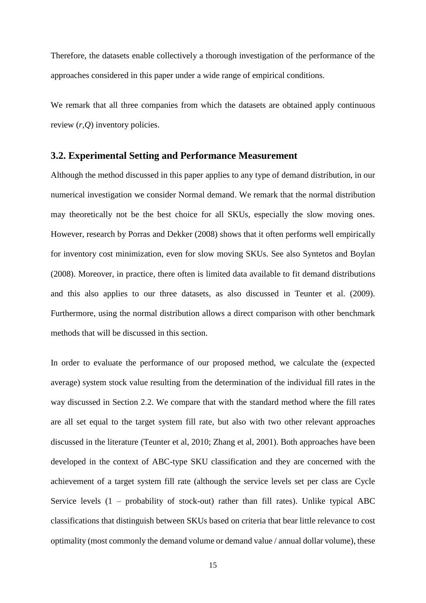Therefore, the datasets enable collectively a thorough investigation of the performance of the approaches considered in this paper under a wide range of empirical conditions.

We remark that all three companies from which the datasets are obtained apply continuous review (*r,Q*) inventory policies.

#### **3.2. Experimental Setting and Performance Measurement**

Although the method discussed in this paper applies to any type of demand distribution, in our numerical investigation we consider Normal demand. We remark that the normal distribution may theoretically not be the best choice for all SKUs, especially the slow moving ones. However, research by Porras and Dekker (2008) shows that it often performs well empirically for inventory cost minimization, even for slow moving SKUs. See also Syntetos and Boylan (2008). Moreover, in practice, there often is limited data available to fit demand distributions and this also applies to our three datasets, as also discussed in Teunter et al. (2009). Furthermore, using the normal distribution allows a direct comparison with other benchmark methods that will be discussed in this section.

In order to evaluate the performance of our proposed method, we calculate the (expected average) system stock value resulting from the determination of the individual fill rates in the way discussed in Section 2.2. We compare that with the standard method where the fill rates are all set equal to the target system fill rate, but also with two other relevant approaches discussed in the literature (Teunter et al, 2010; Zhang et al, 2001). Both approaches have been developed in the context of ABC-type SKU classification and they are concerned with the achievement of a target system fill rate (although the service levels set per class are Cycle Service levels  $(1 -$  probability of stock-out) rather than fill rates). Unlike typical ABC classifications that distinguish between SKUs based on criteria that bear little relevance to cost optimality (most commonly the demand volume or demand value / annual dollar volume), these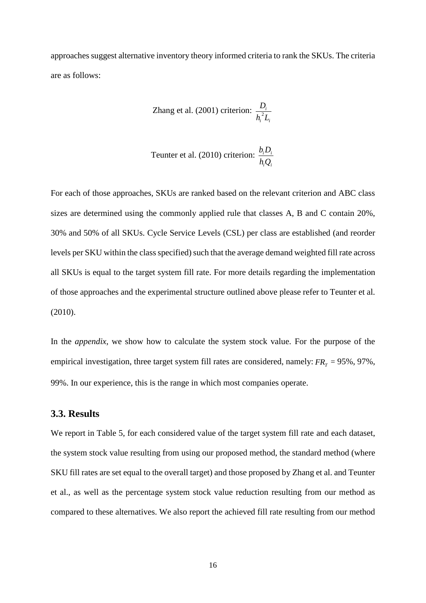approaches suggest alternative inventory theory informed criteria to rank the SKUs. The criteria are as follows:

Zhang et al. (2001) criterion: 
$$
\frac{D_i}{h_i^2 L_i}
$$

$$
T\text{eunter et al. (2010) criterion: } \frac{b_i D_i}{h_i Q_i}
$$

For each of those approaches, SKUs are ranked based on the relevant criterion and ABC class sizes are determined using the commonly applied rule that classes A, B and C contain 20%, 30% and 50% of all SKUs. Cycle Service Levels (CSL) per class are established (and reorder levels per SKU within the class specified) such that the average demand weighted fill rate across all SKUs is equal to the target system fill rate. For more details regarding the implementation of those approaches and the experimental structure outlined above please refer to Teunter et al. (2010).

In the *appendix*, we show how to calculate the system stock value. For the purpose of the empirical investigation, three target system fill rates are considered, namely:  $FR<sub>T</sub> = 95\%$ , 97%, 99%. In our experience, this is the range in which most companies operate.

#### **3.3. Results**

We report in Table 5, for each considered value of the target system fill rate and each dataset, the system stock value resulting from using our proposed method, the standard method (where SKU fill rates are set equal to the overall target) and those proposed by Zhang et al. and Teunter et al., as well as the percentage system stock value reduction resulting from our method as compared to these alternatives. We also report the achieved fill rate resulting from our method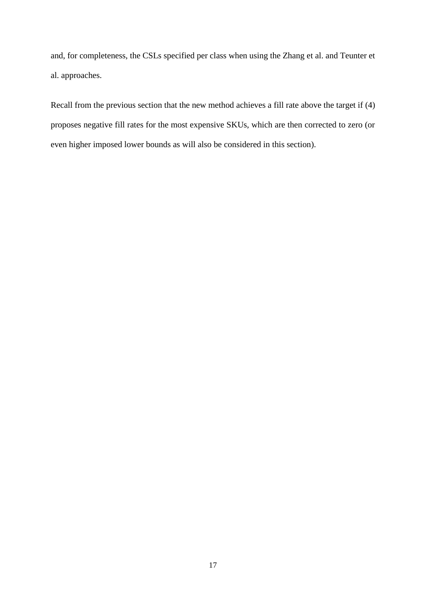and, for completeness, the CSLs specified per class when using the Zhang et al. and Teunter et al. approaches.

Recall from the previous section that the new method achieves a fill rate above the target if (4) proposes negative fill rates for the most expensive SKUs, which are then corrected to zero (or even higher imposed lower bounds as will also be considered in this section).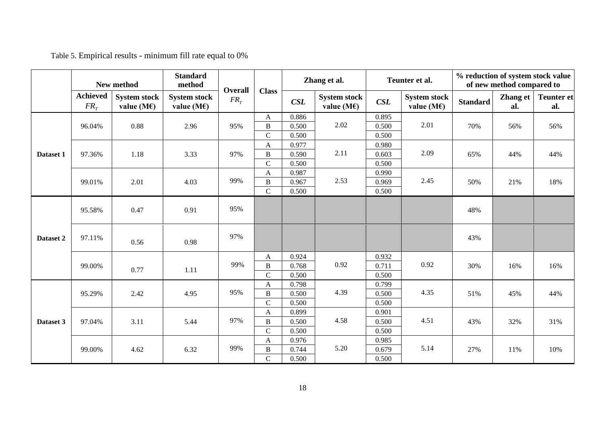|           | New method                         |                                              | <b>Standard</b><br>method                    | Overall |                           | Zhang et al. |                                              | Teunter et al. |                                              | % reduction of system stock value<br>of new method compared to |                 |                          |
|-----------|------------------------------------|----------------------------------------------|----------------------------------------------|---------|---------------------------|--------------|----------------------------------------------|----------------|----------------------------------------------|----------------------------------------------------------------|-----------------|--------------------------|
|           | <b>Achieved</b><br>FR <sub>r</sub> | <b>System stock</b><br>value (M $\epsilon$ ) | <b>System stock</b><br>value (M $\epsilon$ ) | $FR_T$  | <b>Class</b>              | CSL          | <b>System stock</b><br>value (M $\epsilon$ ) | CSL            | <b>System stock</b><br>value (M $\epsilon$ ) | <b>Standard</b>                                                | Zhang et<br>al. | <b>Teunter et</b><br>al. |
|           |                                    |                                              |                                              | 95%     | A                         | 0.886        |                                              | 0.895          |                                              |                                                                | 56%             | 56%                      |
|           | 96.04%                             | 0.88                                         | 2.96                                         |         | $\, {\bf B}$              | 0.500        | 2.02                                         | 0.500          | 2.01                                         | 70%                                                            |                 |                          |
|           |                                    |                                              |                                              |         | $\mathbf C$               | 0.500        |                                              | 0.500          |                                              |                                                                |                 |                          |
|           |                                    |                                              |                                              |         | $\mathbf{A}$              | 0.977        | 2.11                                         | 0.980          |                                              |                                                                |                 |                          |
| Dataset 1 | 97.36%                             | 1.18                                         | 3.33                                         | 97%     | $\, {\bf B}$              | 0.590        |                                              | 0.603          | 2.09                                         | 65%                                                            | 44%             | 44%                      |
|           |                                    |                                              |                                              |         | ${\bf C}$                 | 0.500        |                                              | 0.500          |                                              |                                                                |                 |                          |
|           |                                    |                                              | 4.03                                         | 99%     | $\boldsymbol{\mathsf{A}}$ | 0.987        |                                              | 0.990          | 2.45                                         | 50%                                                            | 21%             | 18%                      |
|           | 99.01%                             | 2.01                                         |                                              |         | $\, {\bf B}$              | 0.967        | 2.53                                         | 0.969          |                                              |                                                                |                 |                          |
|           |                                    |                                              |                                              |         | $\mathbf C$               | 0.500        |                                              | 0.500          |                                              |                                                                |                 |                          |
| Dataset 2 | 95.58%                             | 0.47                                         | 0.91                                         | 95%     |                           |              |                                              |                |                                              | 48%                                                            |                 |                          |
|           | 97.11%                             | 0.56                                         | 0.98                                         | 97%     |                           |              |                                              |                |                                              | 43%                                                            |                 |                          |
|           | 99.00%                             | 0.77                                         | 1.11                                         | 99%     | $\mathbf{A}$              | 0.924        | 0.92                                         | 0.932          | 0.92                                         | 30%                                                            | 16%             | 16%                      |
|           |                                    |                                              |                                              |         | $\, {\bf B}$              | 0.768        |                                              | 0.711          |                                              |                                                                |                 |                          |
|           |                                    |                                              |                                              |         | $\mathcal{C}$             | 0.500        |                                              | 0.500          |                                              |                                                                |                 |                          |
|           |                                    | 2.42                                         | 4.95                                         |         | $\mathbf{A}$              | 0.798        |                                              | 0.799          | 4.35                                         |                                                                |                 | 44%                      |
| Dataset 3 | 95.29%                             |                                              |                                              | 95%     | $\, {\bf B}$              | 0.500        | 4.39                                         | 0.500          |                                              | 51%                                                            | 45%             |                          |
|           |                                    |                                              |                                              |         | $\mathcal{C}$             | 0.500        |                                              | 0.500          |                                              |                                                                |                 |                          |
|           |                                    | 3.11                                         | 5.44                                         | 97%     | $\mathbf{A}$              | 0.899        | 4.58                                         | 0.901          | 4.51<br>43%                                  |                                                                | 32%             | 31%                      |
|           | 97.04%                             |                                              |                                              |         | $\, {\bf B}$              | 0.500        |                                              | 0.500          |                                              |                                                                |                 |                          |
|           |                                    |                                              |                                              |         | $\mathcal{C}$             | 0.500        |                                              | 0.500          |                                              |                                                                |                 |                          |
|           |                                    |                                              | 6.32                                         |         | $\boldsymbol{\mathsf{A}}$ | 0.976        | 5.20                                         | 0.985          |                                              |                                                                |                 | 10%                      |
|           | 99.00%                             | 4.62                                         |                                              | 99%     | $\, {\bf B}$              | 0.744        |                                              | 0.679          | 5.14                                         | 27%                                                            | 11%             |                          |
|           |                                    |                                              |                                              |         | $\mathbf C$               | 0.500        |                                              | 0.500          |                                              |                                                                |                 |                          |

Table 5. Empirical results - minimum fill rate equal to 0%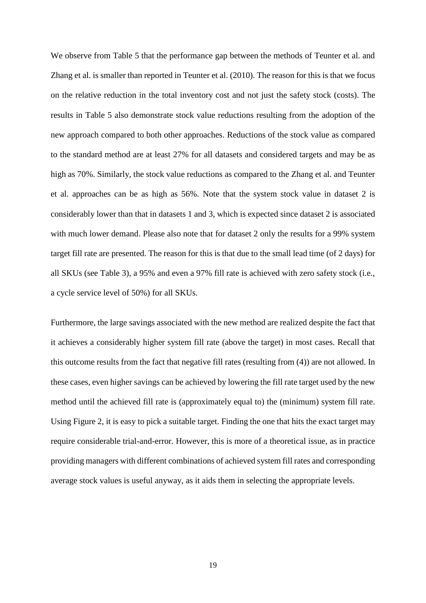We observe from Table 5 that the performance gap between the methods of Teunter et al. and Zhang et al. is smaller than reported in Teunter et al. (2010). The reason for this is that we focus on the relative reduction in the total inventory cost and not just the safety stock (costs). The results in Table 5 also demonstrate stock value reductions resulting from the adoption of the new approach compared to both other approaches. Reductions of the stock value as compared to the standard method are at least 27% for all datasets and considered targets and may be as high as 70%. Similarly, the stock value reductions as compared to the Zhang et al. and Teunter et al. approaches can be as high as 56%. Note that the system stock value in dataset 2 is considerably lower than that in datasets 1 and 3, which is expected since dataset 2 is associated with much lower demand. Please also note that for dataset 2 only the results for a 99% system target fill rate are presented. The reason for this is that due to the small lead time (of 2 days) for all SKUs (see Table 3), a 95% and even a 97% fill rate is achieved with zero safety stock (i.e., a cycle service level of 50%) for all SKUs.

Furthermore, the large savings associated with the new method are realized despite the fact that it achieves a considerably higher system fill rate (above the target) in most cases. Recall that this outcome results from the fact that negative fill rates (resulting from (4)) are not allowed. In these cases, even higher savings can be achieved by lowering the fill rate target used by the new method until the achieved fill rate is (approximately equal to) the (minimum) system fill rate. Using Figure 2, it is easy to pick a suitable target. Finding the one that hits the exact target may require considerable trial-and-error. However, this is more of a theoretical issue, as in practice providing managers with different combinations of achieved system fill rates and corresponding average stock values is useful anyway, as it aids them in selecting the appropriate levels.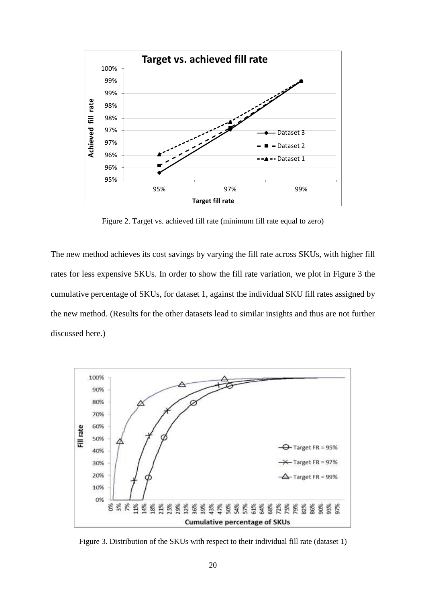

Figure 2. Target vs. achieved fill rate (minimum fill rate equal to zero)

The new method achieves its cost savings by varying the fill rate across SKUs, with higher fill rates for less expensive SKUs. In order to show the fill rate variation, we plot in Figure 3 the cumulative percentage of SKUs, for dataset 1, against the individual SKU fill rates assigned by the new method. (Results for the other datasets lead to similar insights and thus are not further discussed here.)



Figure 3. Distribution of the SKUs with respect to their individual fill rate (dataset 1)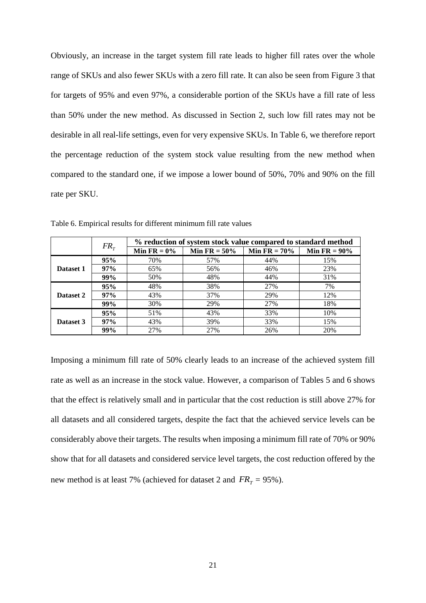Obviously, an increase in the target system fill rate leads to higher fill rates over the whole range of SKUs and also fewer SKUs with a zero fill rate. It can also be seen from Figure 3 that for targets of 95% and even 97%, a considerable portion of the SKUs have a fill rate of less than 50% under the new method. As discussed in Section 2, such low fill rates may not be desirable in all real-life settings, even for very expensive SKUs. In Table 6, we therefore report the percentage reduction of the system stock value resulting from the new method when compared to the standard one, if we impose a lower bound of 50%, 70% and 90% on the fill rate per SKU.

|           | FR <sub>r</sub> | % reduction of system stock value compared to standard method |                 |                 |                 |  |  |  |
|-----------|-----------------|---------------------------------------------------------------|-----------------|-----------------|-----------------|--|--|--|
|           |                 | Min FR = $0\%$                                                | Min FR = $50\%$ | Min $FR = 70\%$ | Min $FR = 90\%$ |  |  |  |
|           | 95%             | 70%                                                           | 57%             | 44%             | 15%             |  |  |  |
| Dataset 1 | 97%             | 65%                                                           | 56%             | 46%             | 23%             |  |  |  |
|           | 99%             | 50%                                                           | 48%             | 44%             | 31%             |  |  |  |
|           | 95%             | 48%                                                           | 38%             | 27%             | 7%              |  |  |  |
| Dataset 2 | 97%             | 43%                                                           | 37%             | 29%             | 12%             |  |  |  |
|           | 99%             | 30%                                                           | 29%             | 27%             | 18%             |  |  |  |
| Dataset 3 | 95%             | 51%                                                           | 43%             | 33%             | 10%             |  |  |  |
|           | 97%             | 43%                                                           | 39%             | 33%             | 15%             |  |  |  |
|           | 99%             | 27%                                                           | 27%             | 26%             | 20%             |  |  |  |

Table 6. Empirical results for different minimum fill rate values

Imposing a minimum fill rate of 50% clearly leads to an increase of the achieved system fill rate as well as an increase in the stock value. However, a comparison of Tables 5 and 6 shows that the effect is relatively small and in particular that the cost reduction is still above 27% for all datasets and all considered targets, despite the fact that the achieved service levels can be considerably above their targets. The results when imposing a minimum fill rate of 70% or 90% show that for all datasets and considered service level targets, the cost reduction offered by the new method is at least 7% (achieved for dataset 2 and  $FR<sub>T</sub> = 95$ %).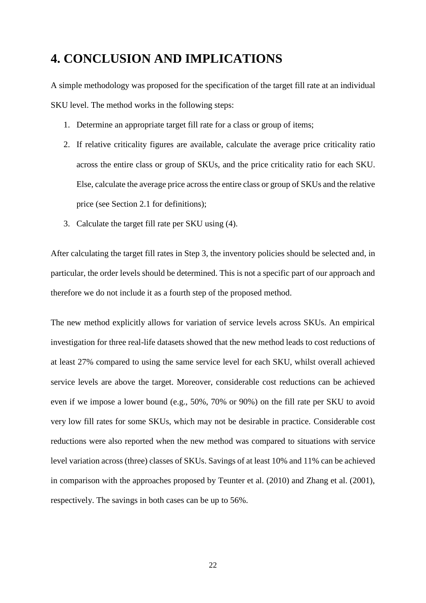### **4. CONCLUSION AND IMPLICATIONS**

A simple methodology was proposed for the specification of the target fill rate at an individual SKU level. The method works in the following steps:

- 1. Determine an appropriate target fill rate for a class or group of items;
- 2. If relative criticality figures are available, calculate the average price criticality ratio across the entire class or group of SKUs, and the price criticality ratio for each SKU. Else, calculate the average price across the entire class or group of SKUs and the relative price (see Section 2.1 for definitions);
- 3. Calculate the target fill rate per SKU using (4).

After calculating the target fill rates in Step 3, the inventory policies should be selected and, in particular, the order levels should be determined. This is not a specific part of our approach and therefore we do not include it as a fourth step of the proposed method.

The new method explicitly allows for variation of service levels across SKUs. An empirical investigation for three real-life datasets showed that the new method leads to cost reductions of at least 27% compared to using the same service level for each SKU, whilst overall achieved service levels are above the target. Moreover, considerable cost reductions can be achieved even if we impose a lower bound (e.g., 50%, 70% or 90%) on the fill rate per SKU to avoid very low fill rates for some SKUs, which may not be desirable in practice. Considerable cost reductions were also reported when the new method was compared to situations with service level variation across (three) classes of SKUs. Savings of at least 10% and 11% can be achieved in comparison with the approaches proposed by Teunter et al. (2010) and Zhang et al. (2001), respectively. The savings in both cases can be up to 56%.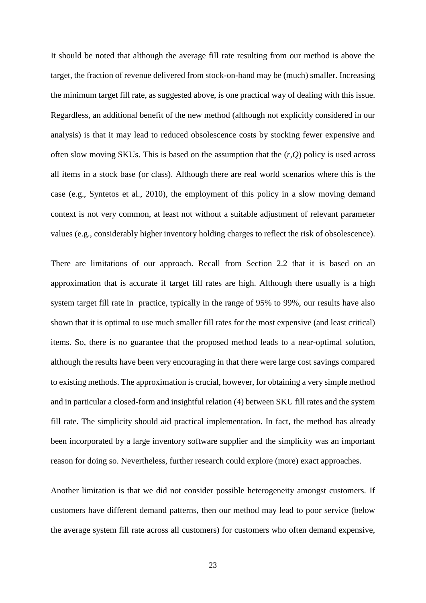It should be noted that although the average fill rate resulting from our method is above the target, the fraction of revenue delivered from stock-on-hand may be (much) smaller. Increasing the minimum target fill rate, as suggested above, is one practical way of dealing with this issue. Regardless, an additional benefit of the new method (although not explicitly considered in our analysis) is that it may lead to reduced obsolescence costs by stocking fewer expensive and often slow moving SKUs. This is based on the assumption that the  $(r,0)$  policy is used across all items in a stock base (or class). Although there are real world scenarios where this is the case (e.g., Syntetos et al., 2010), the employment of this policy in a slow moving demand context is not very common, at least not without a suitable adjustment of relevant parameter values (e.g., considerably higher inventory holding charges to reflect the risk of obsolescence).

There are limitations of our approach. Recall from Section 2.2 that it is based on an approximation that is accurate if target fill rates are high. Although there usually is a high system target fill rate in practice, typically in the range of 95% to 99%, our results have also shown that it is optimal to use much smaller fill rates for the most expensive (and least critical) items. So, there is no guarantee that the proposed method leads to a near-optimal solution, although the results have been very encouraging in that there were large cost savings compared to existing methods. The approximation is crucial, however, for obtaining a very simple method and in particular a closed-form and insightful relation (4) between SKU fill rates and the system fill rate. The simplicity should aid practical implementation. In fact, the method has already been incorporated by a large inventory software supplier and the simplicity was an important reason for doing so. Nevertheless, further research could explore (more) exact approaches.

Another limitation is that we did not consider possible heterogeneity amongst customers. If customers have different demand patterns, then our method may lead to poor service (below the average system fill rate across all customers) for customers who often demand expensive,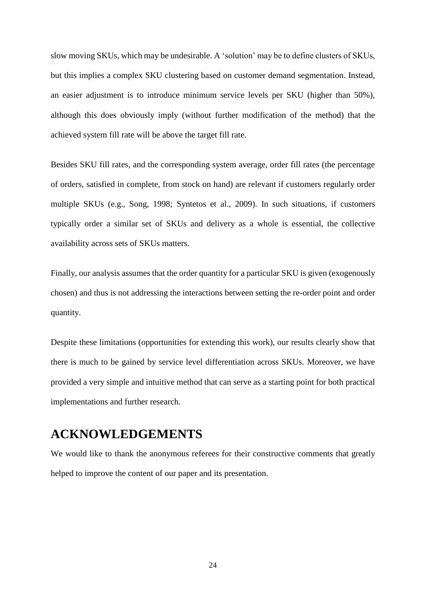slow moving SKUs, which may be undesirable. A 'solution' may be to define clusters of SKUs, but this implies a complex SKU clustering based on customer demand segmentation. Instead, an easier adjustment is to introduce minimum service levels per SKU (higher than 50%), although this does obviously imply (without further modification of the method) that the achieved system fill rate will be above the target fill rate.

Besides SKU fill rates, and the corresponding system average, order fill rates (the percentage of orders, satisfied in complete, from stock on hand) are relevant if customers regularly order multiple SKUs (e.g., Song, 1998; Syntetos et al., 2009). In such situations, if customers typically order a similar set of SKUs and delivery as a whole is essential, the collective availability across sets of SKUs matters.

Finally, our analysis assumes that the order quantity for a particular SKU is given (exogenously chosen) and thus is not addressing the interactions between setting the re-order point and order quantity.

Despite these limitations (opportunities for extending this work), our results clearly show that there is much to be gained by service level differentiation across SKUs. Moreover, we have provided a very simple and intuitive method that can serve as a starting point for both practical implementations and further research.

### **ACKNOWLEDGEMENTS**

We would like to thank the anonymous referees for their constructive comments that greatly helped to improve the content of our paper and its presentation.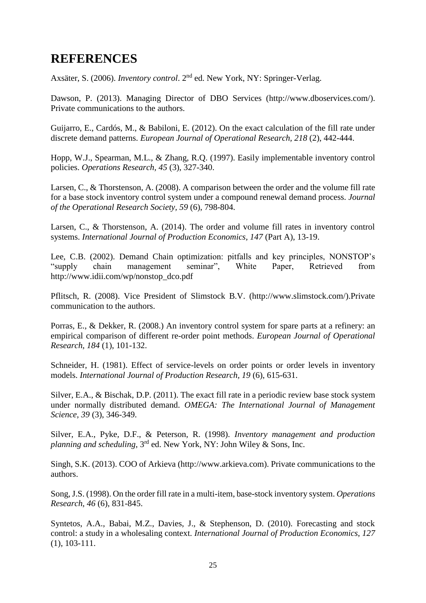## **REFERENCES**

Axsäter, S. (2006). *Inventory control*. 2nd ed. New York, NY: Springer-Verlag.

Dawson, P. (2013). Managing Director of DBO Services [\(http://www.dboservices.com/\)](http://www.dboservices.com/). Private communications to the authors.

Guijarro, E., Cardós, M., & Babiloni, E. (2012). On the exact calculation of the fill rate under discrete demand patterns. *European Journal of Operational Research, 218* (2), 442-444.

Hopp, W.J., Spearman, M.L., & Zhang, R.Q. (1997). Easily implementable inventory control policies. *Operations Research, 45* (3), 327-340.

Larsen, C., & Thorstenson, A. (2008). A comparison between the order and the volume fill rate for a base stock inventory control system under a compound renewal demand process. *Journal of the Operational Research Society, 59* (6), 798-804.

Larsen, C., & Thorstenson, A. (2014). The order and volume fill rates in inventory control systems. *International Journal of Production Economics, 147* (Part A), 13-19.

Lee, C.B. (2002). Demand Chain optimization: pitfalls and key principles, NONSTOP's "supply chain management seminar", White Paper, Retrieved from http://www.idii.com/wp/nonstop\_dco.pdf

Pflitsch, R. (2008). Vice President of Slimstock B.V. (http://www.slimstock.com/).Private communication to the authors.

Porras, E., & Dekker, R. (2008.) An inventory control system for spare parts at a refinery: an empirical comparison of different re-order point methods. *European Journal of Operational Research*, *184* (1), 101-132.

Schneider, H. (1981). Effect of service-levels on order points or order levels in inventory models. *International Journal of Production Research, 19* (6), 615-631.

Silver, E.A., & Bischak, D.P. (2011). The exact fill rate in a periodic review base stock system under normally distributed demand. *OMEGA: The International Journal of Management Science, 39* (3), 346-349.

Silver, E.A., Pyke, D.F., & Peterson, R. (1998). *Inventory management and production planning and scheduling*, 3rd ed. New York, NY: John Wiley & Sons, Inc.

Singh, S.K. (2013). COO of Arkieva (http://www.arkieva.com). Private communications to the authors.

Song, J.S. (1998)[. On the order fill rate in a multi-item, base-stock inventory system.](http://scholar.google.com/citations?view_op=view_citation&hl=fr&user=LKO03kAAAAAJ&citation_for_view=LKO03kAAAAAJ:zYLM7Y9cAGgC) *Operations Research*, *46* (6), 831-845.

Syntetos, A.A., Babai, M.Z., Davies, J., & Stephenson, D. (2010). Forecasting and stock control: a study in a wholesaling context. *International Journal of Production Economics*, *127* (1), 103-111.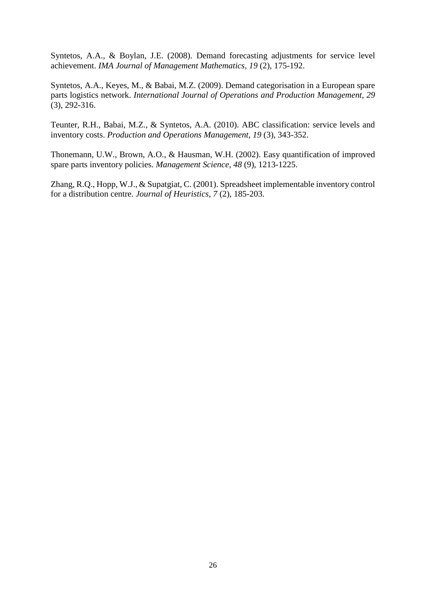Syntetos, A.A., & Boylan, J.E. (2008). Demand forecasting adjustments for service level achievement. *IMA Journal of Management Mathematics*, *19* (2), 175-192.

Syntetos, A.A., Keyes, M., & Babai, M.Z. (2009). Demand categorisation in a European spare parts logistics network. *International Journal of Operations and Production Management, 29* (3), 292-316.

Teunter, R.H., Babai, M.Z., & Syntetos, A.A. (2010). ABC classification: service levels and inventory costs. *Production and Operations Management, 19* (3), 343-352.

Thonemann, U.W., Brown, A.O., & Hausman, W.H. (2002). Easy quantification of improved spare parts inventory policies. *Management Science*, *48* (9), 1213-1225.

Zhang, R.Q., Hopp, W.J., & Supatgiat, C. (2001). Spreadsheet implementable inventory control for a distribution centre. *Journal of Heuristics*, *7* (2), 185-203.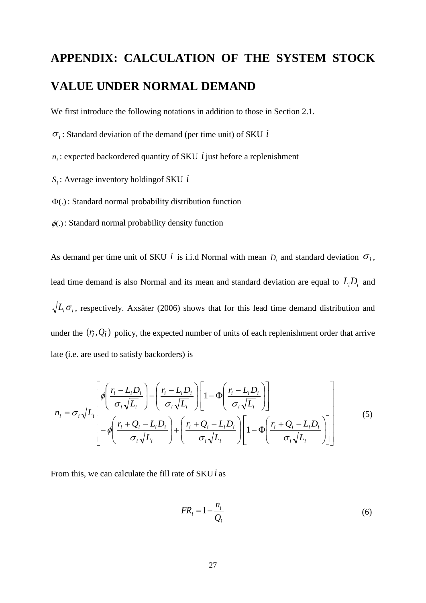## **APPENDIX: CALCULATION OF THE SYSTEM STOCK VALUE UNDER NORMAL DEMAND**

We first introduce the following notations in addition to those in Section 2.1.

 $\sigma_i$ : Standard deviation of the demand (per time unit) of SKU *i* 

 $n_i$ : expected backordered quantity of SKU *i* just before a replenishment

*Si* : Average inventory holdingof SKU *i*

 $\Phi(.)$ : Standard normal probability distribution function

 $\phi(.)$ : Standard normal probability density function

As demand per time unit of SKU *i* is i.i.d Normal with mean  $D_i$  and standard deviation  $\sigma_i$ , lead time demand is also Normal and its mean and standard deviation are equal to  $L_i D_i$  and  $L_i \sigma_i$ , respectively. Axsäter (2006) shows that for this lead time demand distribution and under the  $(r_i, Q_i)$  policy, the expected number of units of each replenishment order that arrive late (i.e. are used to satisfy backorders) is

$$
n_{i} = \sigma_{i} \sqrt{L_{i}} \left[ \phi \left( \frac{r_{i} - L_{i}D_{i}}{\sigma_{i} \sqrt{L_{i}}} \right) - \left( \frac{r_{i} - L_{i}D_{i}}{\sigma_{i} \sqrt{L_{i}}} \right) \left[ 1 - \Phi \left( \frac{r_{i} - L_{i}D_{i}}{\sigma_{i} \sqrt{L_{i}}} \right) \right] - \phi \left( \frac{r_{i} + Q_{i} - L_{i}D_{i}}{\sigma_{i} \sqrt{L_{i}}} \right) + \left( \frac{r_{i} + Q_{i} - L_{i}D_{i}}{\sigma_{i} \sqrt{L_{i}}} \right) \left[ 1 - \Phi \left( \frac{r_{i} + Q_{i} - L_{i}D_{i}}{\sigma_{i} \sqrt{L_{i}}} \right) \right] \right]
$$
(5)

From this, we can calculate the fill rate of SKU*i* as

$$
FR_i = 1 - \frac{n_i}{Q_i} \tag{6}
$$